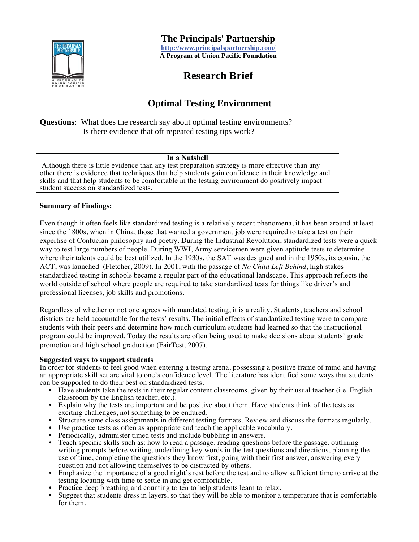

 **The Principals' Partnership** 

**http://www.principalspartnership.com/ A Program of Union Pacific Foundation** 

### **Research Brief**

### **Optimal Testing Environment**

**Questions**: What does the research say about optimal testing environments? Is there evidence that oft repeated testing tips work?

#### **In a Nutshell**

 Although there is little evidence than any test preparation strategy is more effective than any other there is evidence that techniques that help students gain confidence in their knowledge and skills and that help students to be comfortable in the testing environment do positively impact student success on standardized tests.

#### **Summary of Findings:**

Even though it often feels like standardized testing is a relatively recent phenomena, it has been around at least since the 1800s, when in China, those that wanted a government job were required to take a test on their expertise of Confucian philosophy and poetry. During the Industrial Revolution, standardized tests were a quick way to test large numbers of people. During WWI, Army servicemen were given aptitude tests to determine where their talents could be best utilized. In the 1930s, the SAT was designed and in the 1950s, its cousin, the ACT, was launched (Fletcher, 2009). In 2001, with the passage of *No Child Left Behind*, high stakes standardized testing in schools became a regular part of the educational landscape. This approach reflects the world outside of school where people are required to take standardized tests for things like driver's and professional licenses, job skills and promotions.

Regardless of whether or not one agrees with mandated testing, it is a reality. Students, teachers and school districts are held accountable for the tests' results. The initial effects of standardized testing were to compare students with their peers and determine how much curriculum students had learned so that the instructional program could be improved. Today the results are often being used to make decisions about students' grade promotion and high school graduation (FairTest, 2007).

#### **Suggested ways to support students**

In order for students to feel good when entering a testing arena, possessing a positive frame of mind and having an appropriate skill set are vital to one's confidence level. The literature has identified some ways that students can be supported to do their best on standardized tests.

- Have students take the tests in their regular content classrooms, given by their usual teacher (i.e. English classroom by the English teacher, etc.).
- Explain why the tests are important and be positive about them. Have students think of the tests as exciting challenges, not something to be endured.
- Structure some class assignments in different testing formats. Review and discuss the formats regularly.
- Use practice tests as often as appropriate and teach the applicable vocabulary.
- Periodically, administer timed tests and include bubbling in answers.
- Teach specific skills such as: how to read a passage, reading questions before the passage, outlining writing prompts before writing, underlining key words in the test questions and directions, planning the use of time, completing the questions they know first, going with their first answer, answering every question and not allowing themselves to be distracted by others.
- Emphasize the importance of a good night's rest before the test and to allow sufficient time to arrive at the testing locating with time to settle in and get comfortable.
- Practice deep breathing and counting to ten to help students learn to relax.
- Suggest that students dress in layers, so that they will be able to monitor a temperature that is comfortable for them.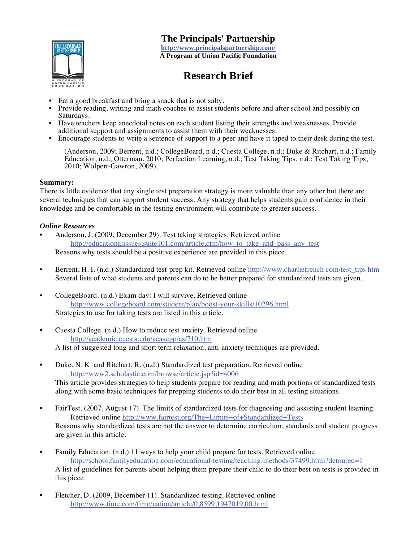

 **The Principals' Partnership** 

**http://www.principalspartnership.com/ A Program of Union Pacific Foundation** 

# **Research Brief**

- Eat a good breakfast and bring a snack that is not salty.
- Provide reading, writing and math coaches to assist students before and after school and possibly on Saturdays.
- Have teachers keep anecdotal notes on each student listing their strengths and weaknesses. Provide additional support and assignments to assist them with their weaknesses.
- Encourage students to write a sentence of support to a peer and have it taped to their desk during the test.

 (Anderson, 2009; Berrent, n.d.; CollegeBoard, n.d.; Cuesta College, n.d.; Duke & Ritchart, n.d.; Family Education, n.d.; Otterman, 2010; Perfection Learning, n.d.; Test Taking Tips, n.d.; Test Taking Tips, 2010; Wolpert-Gawron, 2009).

#### **Summary:**

There is little evidence that any single test preparation strategy is more valuable than any other but there are several techniques that can support student success. Any strategy that helps students gain confidence in their knowledge and be comfortable in the testing environment will contribute to greater success.

#### *Online Resources*

- Anderson, J. (2009, December 29). Test taking strategies. Retrieved online http://educationalissues.suite101.com/article.cfm/how to take and pass any test Reasons why tests should be a positive experience are provided in this piece.
- Berrent, H. I. (n.d.) Standardized test-prep kit. Retrieved online http://www.charliefrench.com/test\_tips.htm Several lists of what students and parents can do to be better prepared for standardized tests are given.
- CollegeBoard. (n.d.) Exam day: I will survive. Retrieved online http://www.collegeboard.com/student/plan/boost-your-skills/10296.html Strategies to use for taking tests are listed in this article.
- Cuesta College. (n.d.) How to reduce test anxiety. Retrieved online http://academic.cuesta.edu/acasupp/as/710.htm A list of suggested long and short term relaxation, anti-anxiety techniques are provided.
- Duke, N. K. and Ritchart, R. (n.d.) Standardized test preparation. Retrieved online http://www2.scholastic.com/browse/article.jsp?id=4006 This article provides strategies to help students prepare for reading and math portions of standardized tests along with some basic techniques for prepping students to do their best in all testing situations.
- FairTest. (2007, August 17). The limits of standardized tests for diagnosing and assisting student learning. Retrieved online http://www.fairtest.org/The+Limits+of+Standardized+Tests Reasons why standardized tests are not the answer to determine curriculum, standards and student progress are given in this article.
- Family Education. (n.d.) 11 ways to help your child prepare for tests. Retrieved online http://school.familyeducation.com/educational-testing/teaching-methods/37499.html?detoured=1 A list of guidelines for parents about helping them prepare their child to do their best on tests is provided in this piece.
- Fletcher, D. (2009, December 11). Standardized testing. Retrieved online http://www.time.com/time/nation/article/0,8599,1947019,00.html